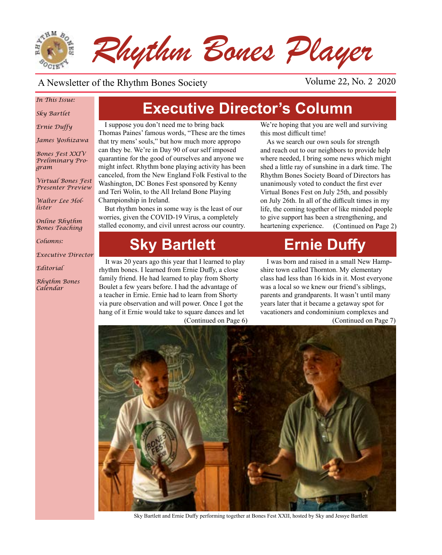

### A Newsletter of the Rhythm Bones Society Volume 22, No. 2 2020

### *In This Issue:*

*Sky Bartlet*

*Ernie Duffy*

*James Yoshizawa*

*Bones Fest XXIV Preliminary Program*

*Virtual Bones Fest Presenter Preview*

*Walter Lee Hollister*

*Online Rhythm Bones Teaching*

*Columns:* 

*Executive Director*

*Editorial*

*Rhythm Bones Calendar*

# **Executive Director's Column**

I suppose you don't need me to bring back Thomas Paines' famous words, "These are the times that try mens' souls," but how much more appropo can they be. We're in Day 90 of our self imposed quarantine for the good of ourselves and anyone we might infect. Rhythm bone playing activity has been canceled, from the New England Folk Festival to the Washington, DC Bones Fest sponsored by Kenny and Teri Wolin, to the All Ireland Bone Playing Championship in Ireland.

But rhythm bones in some way is the least of our worries, given the COVID-19 Virus, a completely stalled economy, and civil unrest across our country.

# **Sky Bartlett Frnie Duffy**

(Continued on Page 6) It was 20 years ago this year that I learned to play rhythm bones. I learned from Ernie Duffy, a close family friend. He had learned to play from Shorty Boulet a few years before. I had the advantage of a teacher in Ernie. Ernie had to learn from Shorty via pure observation and will power. Once I got the hang of it Ernie would take to square dances and let

We're hoping that you are well and surviving this most difficult time!

As we search our own souls for strength and reach out to our neighbors to provide help where needed, I bring some news which might shed a little ray of sunshine in a dark time. The Rhythm Bones Society Board of Directors has unanimously voted to conduct the first ever Virtual Bones Fest on July 25th, and possibly on July 26th. In all of the difficult times in my life, the coming together of like minded people to give support has been a strengthening, and heartening experience. (Continued on Page 2)

I was born and raised in a small New Hampshire town called Thornton. My elementary class had less than 16 kids in it. Most everyone was a local so we knew our friend's siblings, parents and grandparents. It wasn't until many years later that it became a getaway spot for vacationers and condominium complexes and

(Continued on Page 7)



Sky Bartlett and Ernie Duffy performing together at Bones Fest XXII, hosted by Sky and Jessye Bartlett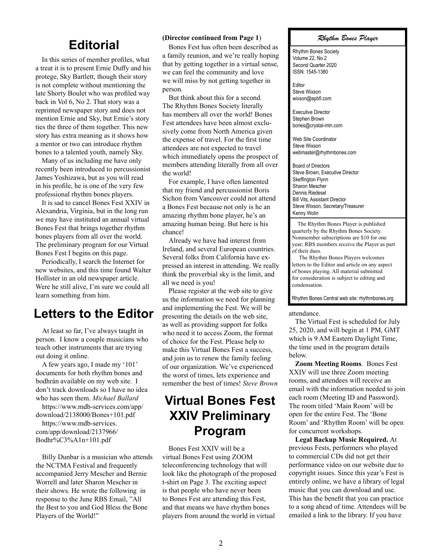### **Editorial**

In this series of member profiles, what a treat it is to present Ernie Duffy and his protege, Sky Bartlett, though their story is not complete without mentioning the late Shorty Boulet who was profiled way back in Vol 6, No 2. That story was a reprinted newspaper story and does not mention Ernie and Sky, but Ernie's story ties the three of them together. This new story has extra meaning as it shows how a mentor or two can introduce rhythm bones to a talented youth, namely Sky.

Many of us including me have only recently been introduced to percussionist James Yoshizawa, but as you will read in his profile, he is one of the very few professional rhythm bones players.

It is sad to cancel Bones Fest XXIV in Alexandria, Virginia, but in the long run we may have instituted an annual virtual Bones Fest that brings together rhythm bones players from all over the world. The preliminary program for our Virtual Bones Fest I begins on this page.

Periodically, I search the Internet for new websites, and this time found Walter Hollister in an old newspaper article. Were he still alive, I'm sure we could all learn something from him.

### **Letters to the Editor**

At least so far, I've always taught in person. I know a couple musicians who teach other instruments that are trying out doing it online.

A few years ago, I made my '101' documents for both rhythm bones and bodhrán available on my web site. I don't track downloads so I have no idea who has seen them. *Michael Ballard*

https://www.mdb-services.com/app/ download/2138000/Bones+101.pdf

https://www.mdb-services. com/app/download/2137966/ Bodhr%C3%A1n+101.pdf

Billy Dunbar is a musician who attends the NCTMA Festival and frequently accompanied Jerry Mescher and Bernie Worrell and later Sharon Mescher in their shows. He wrote the following in response to the June RBS Email, "All the Best to you and God Bless the Bone Players of the World!"

#### **(Director continued from Page 1**)

Bones Fest has often been described as a family reunion, and we're really hoping that by getting together in a virtual sense, we can feel the community and love we will miss by not getting together in person.

But think about this for a second. The Rhythm Bones Society literally has members all over the world! Bones Fest attendees have been almost exclusively come from North America given the expense of travel. For the first time attendees are not expected to travel which immediately opens the prospect of members attending literally from all over the world!

For example, I have often lamented that my friend and percussionist Boris Sichon from Vancouver could not attend a Bones Fest because not only is he an amazing rhythm bone player, he's an amazing human being. But here is his chance!

Already we have had interest from Ireland, and several European countries. Several folks from California have expressed an interest in attending. We really think the proverbial sky is the limit, and all we need is you!

Please register at the web site to give us the information we need for planning and implementing the Fest. We will be presenting the details on the web site, as well as providing support for folks who need it to access Zoom, the format of choice for the Fest. Please help to make this Virtual Bones Fest a success, and join us to renew the family feeling of our organization. We've experienced the worst of times, lets experience and remember the best of times! *Steve Brown*

### **Virtual Bones Fest XXIV Preliminary Program**

Bones Fest XXIV will be a virtual Bones Fest using ZOOM teleconferencing technology that will look like the photograph of the proposed t-shirt on Page 3. The exciting aspect is that people who have never been to Bones Fest are attending this Fest, and that means we have rhythm bones players from around the world in virtual

#### *Rhythm Bones Player*

Rhythm Bones Society Volume 22, No 2 Second Quarter 2020 ISSN: 1545-1380

Editor Steve Wixson wixson@epbfi.com

Executive Director Stephen Brown bones@crystal-mtn.com

Web Site Coordinator Steve Wixson webmaster@rhythmbones.com

Board of Directors Steve Brown, Executive Director Skeffington Flynn Sharon Mescher Dennis Riedesel Bill Vits, Assistant Director Steve Wixson, Secretary/Treasurer Kenny Wolin j

 The Rhythm Bones Player is published quarterly by the Rhythm Bones Society. Nonmember subscriptions are \$10 for one year; RBS members receive the Player as part of their dues.

 The Rhythm Bones Players welcomes letters to the Editor and article on any aspect of bones playing. All material submitted for consideration is subject to editing and condensation.

Rhythm Bones Central web site: rhythmbones.org

#### attendance.

The Virtual Fest is scheduled for July 25, 2020, and will begin at 1 PM, GMT which is 9 AM Eastern Daylight Time, the time used in the program details below.

**Zoom Meeting Rooms**. Bones Fest XXIV will use three Zoom meeting rooms, and attendees will receive an email with the information needed to join each room (Meeting ID and Password). The room titled 'Main Room' will be open for the entire Fest. The 'Bone Room' and 'Rhythm Room' will be open for concurrent workshops.

**Legal Backup Music Required.** At previous Fests, performers who played to commercial CDs did not get their performance video on our website due to copyright issues. Since this year's Fest is entirely online, we have a library of legal music that you can download and use. This has the benefit that you can practice to a song ahead of time. Attendees will be emailed a link to the library. If you have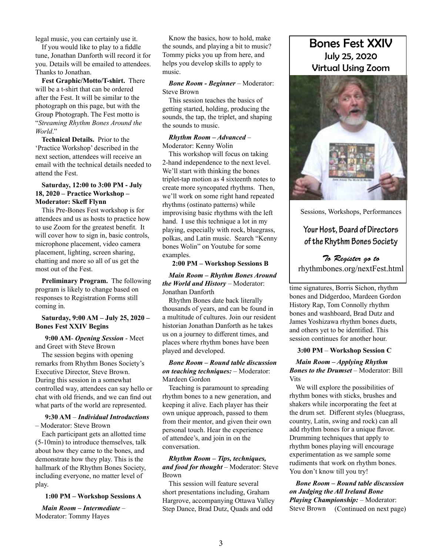legal music, you can certainly use it.

If you would like to play to a fiddle tune, Jonathan Danforth will record it for you. Details will be emailed to attendees. Thanks to Jonathan.

**Fest Graphic/Motto/T-shirt.** There will be a t-shirt that can be ordered after the Fest. It will be similar to the photograph on this page, but with the Group Photograph. The Fest motto is "*Streaming Rhythm Bones Around the World*."

**Technical Details.** Prior to the 'Practice Workshop' described in the next section, attendees will receive an email with the technical details needed to attend the Fest.

#### **Saturday, 12:00 to 3:00 PM - July 18, 2020 – Practice Workshop – Moderator: Skeff Flynn**

This Pre-Bones Fest workshop is for attendees and us as hosts to practice how to use Zoom for the greatest benefit. It will cover how to sign in, basic controls, microphone placement, video camera placement, lighting, screen sharing, chatting and more so all of us get the most out of the Fest.

**Preliminary Program.** The following program is likely to change based on responses to Registration Forms still coming in.

#### **Saturday, 9:00 AM – July 25, 2020 – Bones Fest XXIV Begins**

 **9:00 AM**- *Opening Session* - Meet and Greet with Steve Brown

The session begins with opening remarks from Rhythm Bones Society's Executive Director, Steve Brown. During this session in a somewhat controlled way, attendees can say hello or chat with old friends, and we can find out what parts of the world are represented.

#### **9:30 AM** – *Individual Introductions*  – Moderator: Steve Brown

Each participant gets an allotted time (5-10min) to introduce themselves, talk about how they came to the bones, and demonstrate how they play. This is the hallmark of the Rhythm Bones Society, including everyone, no matter level of play.

#### **1:00 PM – Workshop Sessions A**

*Main Room – Intermediate* – Moderator: Tommy Hayes

Know the basics, how to hold, make the sounds, and playing a bit to music? Tommy picks you up from here, and helps you develop skills to apply to music.

#### *Bone Room - Beginner* – Moderator: Steve Brown

This session teaches the basics of getting started, holding, producing the sounds, the tap, the triplet, and shaping the sounds to music.

#### *Rhythm Room – Advanced* – Moderator: Kenny Wolin

This workshop will focus on taking 2-hand independence to the next level. We'll start with thinking the bones triplet-tap motion as 4 sixteenth notes to create more syncopated rhythms. Then, we'll work on some right hand repeated rhythms (ostinato patterns) while improvising basic rhythms with the left hand. I use this technique a lot in my playing, especially with rock, bluegrass, polkas, and Latin music. Search "Kenny bones Wolin" on Youtube for some examples.

#### **2:00 PM – Workshop Sessions B**

*Main Room – Rhythm Bones Around the World and History* – Moderator: Jonathan Danforth

Rhythm Bones date back literally thousands of years, and can be found in a multitude of cultures. Join our resident historian Jonathan Danforth as he takes us on a journey to different times, and places where rhythm bones have been played and developed.

#### *Bone Room – Round table discussion on teaching techniques:* – Moderator: Mardeen Gordon

Teaching is paramount to spreading rhythm bones to a new generation, and keeping it alive. Each player has their own unique approach, passed to them from their mentor, and given their own personal touch. Hear the experience of attendee's, and join in on the conversation.

#### *Rhythm Room – Tips, techniques, and food for thought* – Moderator: Steve Brown

This session will feature several short presentations including, Graham Hargrove, accompanying Ottawa Valley Step Dance, Brad Dutz, Quads and odd

### Bones Fest XXIV July 25, 2020 Virtual Using Zoom



Sessions, Workshops, Performances

### **Your Host, Board of Directors of the Rhythm Bones Society**

*To Register go to*  rhythmbones.org/nextFest.html

time signatures, Borris Sichon, rhythm bones and Didgerdoo, Mardeen Gordon History Rap, Tom Connolly rhythm bones and washboard, Brad Dutz and James Yoshizawa rhythm bones duets, and others yet to be identified. This session continues for another hour.

#### **3:00 PM** – **Workshop Session C**

#### *Main Room – Applying Rhythm Bones to the Drumset* – Moderator: Bill Vits

We will explore the possibilities of rhythm bones with sticks, brushes and shakers while incorporating the feet at the drum set. Different styles (bluegrass, country, Latin, swing and rock) can all add rhythm bones for a unique flavor. Drumming techniques that apply to rhythm bones playing will encourage experimentation as we sample some rudiments that work on rhythm bones. You don't know till you try!

*Bone Room – Round table discussion on Judging the All Ireland Bone Playing Championship:* – Moderator: Steve Brown (Continued on next page)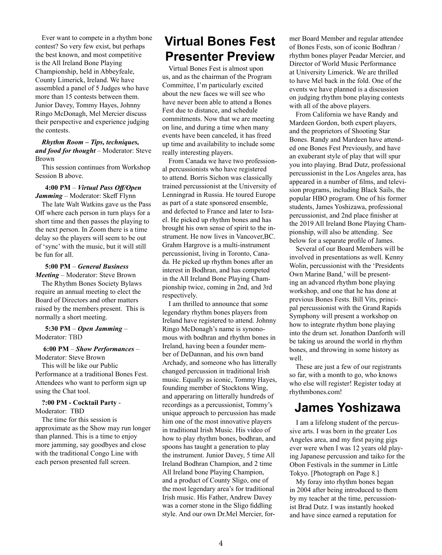Ever want to compete in a rhythm bone contest? So very few exist, but perhaps the best known, and most competitive is the All Ireland Bone Playing Championship, held in Abbeyfeale, County Limerick, Ireland. We have assembled a panel of 5 Judges who have more than 15 contests between them. Junior Davey, Tommy Hayes, Johnny Ringo McDonagh, Mel Mercier discuss their perspective and experience judging the contests.

#### *Rhythm Room – Tips, techniques, and food for thought* – Moderator: Steve Brown

This session continues from Workshop Session B above.

#### **4:00 PM** – *Virtual Pass Off/Open Jamming* – Moderator: Skeff Flynn

The late Walt Watkins gave us the Pass Off where each person in turn plays for a short time and then passes the playing to the next person. In Zoom there is a time delay so the players will seem to be out of 'sync' with the music, but it will still be fun for all.

#### **5:00 PM** – *General Business*

*Meeting* – Moderator: Steve Brown The Rhythm Bones Society Bylaws require an annual meeting to elect the Board of Directors and other matters raised by the members present. This is normally a short meeting.

 **5:30 PM** – *Open Jamming* – Moderator: TBD

#### **6:00 PM** – *Show Performances* – Moderator: Steve Brown

This will be like our Public Performance at a traditional Bones Fest. Attendees who want to perform sign up

### using the Chat tool. **?:00 PM - Cocktail Party** -

Moderator: TBD

The time for this session is approximate as the Show may run longer than planned. This is a time to enjoy more jamming, say goodbyes and close with the traditional Congo Line with each person presented full screen.

## **Virtual Bones Fest Presenter Preview**

Virtual Bones Fest is almost upon us, and as the chairman of the Program Committee, I'm particularly excited about the new faces we will see who have never been able to attend a Bones Fest due to distance, and schedule commitments. Now that we are meeting on line, and during a time when many events have been canceled, it has freed up time and availability to include some really interesting players.

From Canada we have two professional percussionists who have registered to attend. Borris Sichon was classically trained percussionist at the University of Lenningrad in Russia. He toured Europe as part of a state sponsored ensemble, and defected to France and later to Israel. He picked up rhythm bones and has brought his own sense of spirit to the instrument. He now lives in Vancover,BC. Grahm Hargrove is a multi-instrument percussionist, living in Toronto, Canada. He picked up rhythm bones after an interest in Bodhran, and has competed in the All Ireland Bone Playing Championship twice, coming in 2nd, and 3rd respectively.

I am thrilled to announce that some legendary rhythm bones players from Ireland have registered to attend. Johnny Ringo McDonagh's name is synonomous with bodhran and rhythm bones in Ireland, having been a founder member of DeDannan, and his own band Archady, and someone who has litterally changed percussion in traditional Irish music. Equally as iconic, Tommy Hayes, founding member of Stocktons Wing, and apperaring on litterally hundreds of recordings as a percussionist, Tommy's unique approach to percussion has made him one of the most innovative players in traditional Irish Music. His video of how to play rhythm bones, bodhran, and spoons has taught a generation to play the instrument. Junior Davey, 5 time All Ireland Bodhran Champion, and 2 time All Ireland bone Playing Champion, and a product of County Sligo, one of the most legendary area's for traditional Irish music. His Father, Andrew Davey was a corner stone in the Sligo fiddling style. And our own Dr.Mel Mercier, former Board Member and regular attendee of Bones Fests, son of iconic Bodhran / rhythm bones player Peadar Mercier, and Director of World Music Performance at University Limerick. We are thrilled to have Mel back in the fold. One of the events we have planned is a discussion on judging rhythm bone playing contests with all of the above players.

From California we have Randy and Mardeen Gordon, both expert players, and the proprietors of Shooting Star Bones. Randy and Mardeen have attended one Bones Fest Previously, and have an exuberant style of play that will spur you into playing. Brad Dutz, professional percussionist in the Los Angeles area, has appeared in a number of films, and television programs, including Black Sails, the popular HBO program. One of his former students, James Yoshizawa, professional percussionist, and 2nd place finisher at the 2019 All Ireland Bone Playing Championship, will also be attending. See below for a separate profile of James.

Several of our Board Members will be involved in presentations as well. Kenny Wolin, percussionist with the 'Presidents Own Marine Band,' will be presenting an advanced rhythm bone playing workshop, and one that he has done at previous Bones Fests. Bill Vits, principal percussionist with the Grand Rapids Symphony will present a workshop on how to integrate rhythm bone playing into the drum set. Jonathon Danforth will be taking us around the world in rhythm bones, and throwing in some history as well.

These are just a few of our registrants so far, with a month to go, who knows who else will register! Register today at rhythmbones.com!

### **James Yoshizawa**

I am a lifelong student of the percussive arts. I was born in the greater Los Angeles area, and my first paying gigs ever were when I was 12 years old playing Japanese percussion and taiko for the Obon Festivals in the summer in Little Tokyo. [Photograph on Page 8.]

My foray into rhythm bones began in 2004 after being introduced to them by my teacher at the time, percussionist Brad Dutz. I was instantly hooked and have since earned a reputation for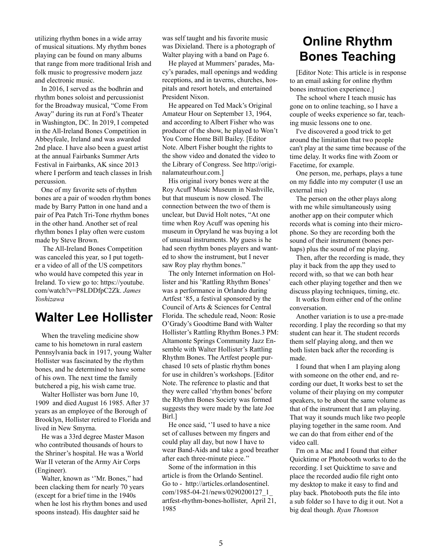utilizing rhythm bones in a wide array of musical situations. My rhythm bones playing can be found on many albums that range from more traditional Irish and folk music to progressive modern jazz and electronic music.

In 2016, I served as the bodhrán and rhythm bones soloist and percussionist for the Broadway musical, "Come From Away" during its run at Ford's Theater in Washington, DC. In 2019, I competed in the All-Ireland Bones Competition in Abbeyfeale, Ireland and was awarded 2nd place. I have also been a guest artist at the annual Fairbanks Summer Arts Festival in Fairbanks, AK since 2013 where I perform and teach classes in Irish percussion.

One of my favorite sets of rhythm bones are a pair of wooden rhythm bones made by Barry Patton in one hand and a pair of Pea Patch Tri-Tone rhythm bones in the other hand. Another set of real rhythm bones I play often were custom made by Steve Brown.

 The All-Ireland Bones Competition was canceled this year, so I put together a video of all of the US competitors who would have competed this year in Ireland. To view go to: https://youtube. com/watch?v=P8LDDfpC2Zk. *James Yoshizawa*

### **Walter Lee Hollister**

When the traveling medicine show came to his hometown in rural eastern Pennsylvania back in 1917, young Walter Hollister was fascinated by the rhythm bones, and he determined to have some of his own. The next time the family butchered a pig, his wish came true.

Walter Hollister was born June 10, 1909 and died August 16 1985. After 37 years as an employee of the Borough of Brooklyn, Hollister retired to Florida and lived in New Smyrna.

He was a 33rd degree Master Mason who contributed thousands of hours to the Shriner's hospital. He was a World War II veteran of the Army Air Corps (Engineer).

Walter, known as ''Mr. Bones,'' had been clacking them for nearly 70 years (except for a brief time in the 1940s when he lost his rhythm bones and used spoons instead). His daughter said he

was self taught and his favorite music was Dixieland. There is a photograph of Walter playing with a band on Page 6.

He played at Mummers' parades, Macy's parades, mall openings and wedding receptions, and in taverns, churches, hospitals and resort hotels, and entertained President Nixon.

He appeared on Ted Mack's Original Amateur Hour on September 13, 1964, and according to Albert Fisher who was producer of the show, he played to Won't You Come Home Bill Bailey. [Editor Note. Albert Fisher bought the rights to the show video and donated the video to the Library of Congress. See http://originalamateurhour.com.]

His original ivory bones were at the Roy Acuff Music Museum in Nashville, but that museum is now closed. The connection between the two of them is unclear, but David Holt notes, "At one time when Roy Acuff was opening his museum in Opryland he was buying a lot of unusual instruments. My guess is he had seen rhythm bones players and wanted to show the instrument, but I never saw Roy play rhythm bones."

The only Internet information on Hollister and his 'Rattling Rhythm Bones' was a performance in Orlando during Artfest '85, a festival sponsored by the Council of Arts & Sciences for Central Florida. The schedule read, Noon: Rosie O'Grady's Goodtime Band with Walter Hollister's Rattling Rhythm Bones.3 PM: Altamonte Springs Community Jazz Ensemble with Walter Hollister's Rattling Rhythm Bones. The Artfest people purchased 10 sets of plastic rhythm bones for use in children's workshops. [Editor Note. The reference to plastic and that they were called 'rhythm bones' before the Rhythm Bones Society was formed suggests they were made by the late Joe Birl.]

He once said, ''I used to have a nice set of calluses between my fingers and could play all day, but now I have to wear Band-Aids and take a good breather after each three-minute piece.''

Some of the information in this article is from the Orlando Sentinel. Go to - http://articles.orlandosentinel. com/1985-04-21/news/0290200127\_1\_ artfest-rhythm-bones-hollister, April 21, 1985

## **Online Rhythm Bones Teaching**

[Editor Note: This article is in response to an email asking for online rhythm bones instruction experience.]

The school where I teach music has gone on to online teaching, so I have a couple of weeks experience so far, teaching music lessons one to one.

I've discovered a good trick to get around the limitation that two people can't play at the same time because of the time delay. It works fine with Zoom or Facetime, for example.

One person, me, perhaps, plays a tune on my fiddle into my computer (I use an external mic)

The person on the other plays along with me while simultaneously using another app on their computer which records what is coming into their microphone. So they are recording both the sound of their instrument (bones perhaps) plus the sound of me playing.

Then, after the recording is made, they play it back from the app they used to record with, so that we can both hear each other playing together and then we discuss playing techniques, timing, etc.

It works from either end of the online conversation.

Another variation is to use a pre-made recording. I play the recording so that my student can hear it. The student records them self playing along, and then we both listen back after the recording is made.

I found that when I am playing along with someone on the other end, and recording our duet, It works best to set the volume of their playing on my computer speakers, to be about the same volume as that of the instrument that I am playing. That way it sounds much like two people playing together in the same room. And we can do that from either end of the video call.

I'm on a Mac and I found that either Quicktime or Photobooth works to do the recording. I set Quicktime to save and place the recorded audio file right onto my desktop to make it easy to find and play back. Photobooth puts the file into a sub folder so I have to dig it out. Not a big deal though. *Ryan Thomson*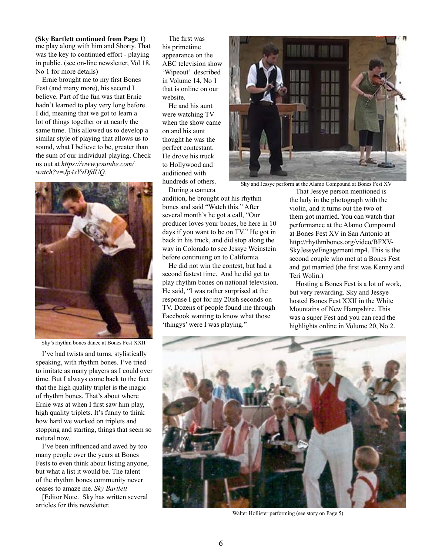me play along with him and Shorty. That was the key to continued effort - playing in public. (see on-line newsletter, Vol 18, No 1 for more details) **(Sky Bartlett continued from Page 1**)

Ernie brought me to my first Bones Fest (and many more), his second I believe. Part of the fun was that Ernie hadn't learned to play very long before I did, meaning that we got to learn a lot of things together or at nearly the same time. This allowed us to develop a similar style of playing that allows us to sound, what I believe to be, greater than the sum of our individual playing. Check us out at *https://www.youtube.com/ watch?v=Jp4sVvDfdUQ.*



Sky's rhythm bones dance at Bones Fest XXII

I've had twists and turns, stylistically speaking, with rhythm bones. I've tried to imitate as many players as I could over time. But I always come back to the fact that the high quality triplet is the magic of rhythm bones. That's about where Ernie was at when I first saw him play, high quality triplets. It's funny to think how hard we worked on triplets and stopping and starting, things that seem so natural now.

I've been influenced and awed by too many people over the years at Bones Fests to even think about listing anyone, but what a list it would be. The talent of the rhythm bones community never ceases to amaze me. *Sky Bartlett*

[Editor Note. Sky has written several articles for this newsletter.

The first was his primetime appearance on the ABC television show 'Wipeout' described in Volume 14, No 1 that is online on our website.

He and his aunt were watching TV when the show came on and his aunt thought he was the perfect contestant. He drove his truck to Hollywood and auditioned with hundreds of others. During a camera



Sky and Jessye perform at the Alamo Compound at Bones Fest XV

audition, he brought out his rhythm bones and said "Watch this." After several month's he got a call, "Our producer loves your bones, be here in 10 days if you want to be on TV." He got in back in his truck, and did stop along the way in Colorado to see Jessye Weinstein before continuing on to California.

He did not win the contest, but had a second fastest time. And he did get to play rhythm bones on national television. He said, "I was rather surprised at the response I got for my 20ish seconds on TV. Dozens of people found me through Facebook wanting to know what those 'thingys' were I was playing."

That Jessye person mentioned is the lady in the photograph with the violin, and it turns out the two of them got married. You can watch that performance at the Alamo Compound at Bones Fest XV in San Antonio at http://rhythmbones.org/video/BFXV-SkyJessyeEngagement.mp4. This is the second couple who met at a Bones Fest and got married (the first was Kenny and Teri Wolin.)

Hosting a Bones Fest is a lot of work, but very rewarding. Sky and Jessye hosted Bones Fest XXII in the White Mountains of New Hampshire. This was a super Fest and you can read the highlights online in Volume 20, No 2.



Walter Hollister performing (see story on Page 5)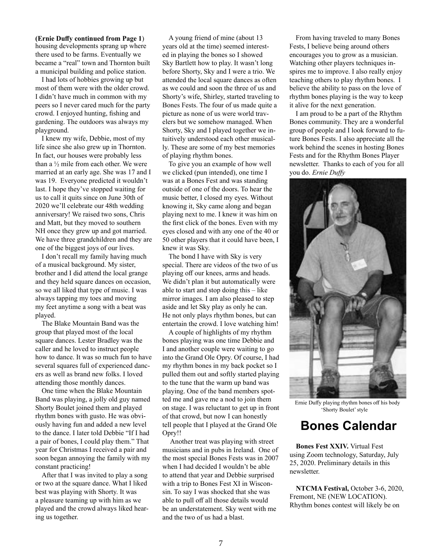housing developments sprang up where there used to be farms. Eventually we became a "real" town and Thornton built a municipal building and police station. **(Ernie Duffy continued from Page 1**)

I had lots of hobbies growing up but most of them were with the older crowd. I didn't have much in common with my peers so I never cared much for the party crowd. I enjoyed hunting, fishing and gardening. The outdoors was always my playground.

I knew my wife, Debbie, most of my life since she also grew up in Thornton. In fact, our houses were probably less than a ½ mile from each other. We were married at an early age. She was 17 and I was 19. Everyone predicted it wouldn't last. I hope they've stopped waiting for us to call it quits since on June 30th of 2020 we'll celebrate our 48th wedding anniversary! We raised two sons, Chris and Matt, but they moved to southern NH once they grew up and got married. We have three grandchildren and they are one of the biggest joys of our lives.

I don't recall my family having much of a musical background. My sister, brother and I did attend the local grange and they held square dances on occasion, so we all liked that type of music. I was always tapping my toes and moving my feet anytime a song with a beat was played.

The Blake Mountain Band was the group that played most of the local square dances. Lester Bradley was the caller and he loved to instruct people how to dance. It was so much fun to have several squares full of experienced dancers as well as brand new folks. I loved attending those monthly dances.

One time when the Blake Mountain Band was playing, a jolly old guy named Shorty Boulet joined them and played rhythm bones with gusto. He was obviously having fun and added a new level to the dance. I later told Debbie "If I had a pair of bones, I could play them." That year for Christmas I received a pair and soon began annoying the family with my constant practicing!

After that I was invited to play a song or two at the square dance. What I liked best was playing with Shorty. It was a pleasure teaming up with him as we played and the crowd always liked hearing us together.

A young friend of mine (about 13 years old at the time) seemed interested in playing the bones so I showed Sky Bartlett how to play. It wasn't long before Shorty, Sky and I were a trio. We attended the local square dances as often as we could and soon the three of us and Shorty's wife, Shirley, started traveling to Bones Fests. The four of us made quite a picture as none of us were world travelers but we somehow managed. When Shorty, Sky and I played together we intuitively understood each other musically. These are some of my best memories of playing rhythm bones.

To give you an example of how well we clicked (pun intended), one time I was at a Bones Fest and was standing outside of one of the doors. To hear the music better, I closed my eyes. Without knowing it, Sky came along and began playing next to me. I knew it was him on the first click of the bones. Even with my eyes closed and with any one of the 40 or 50 other players that it could have been, I knew it was Sky.

The bond I have with Sky is very special. There are videos of the two of us playing off our knees, arms and heads. We didn't plan it but automatically were able to start and stop doing this – like mirror images. I am also pleased to step aside and let Sky play as only he can. He not only plays rhythm bones, but can entertain the crowd. I love watching him!

A couple of highlights of my rhythm bones playing was one time Debbie and I and another couple were waiting to go into the Grand Ole Opry. Of course, I had my rhythm bones in my back pocket so I pulled them out and softly started playing to the tune that the warm up band was playing. One of the band members spotted me and gave me a nod to join them on stage. I was reluctant to get up in front of that crowd, but now I can honestly tell people that I played at the Grand Ole Opry!!

 Another treat was playing with street musicians and in pubs in Ireland. One of the most special Bones Fests was in 2007 when I had decided I wouldn't be able to attend that year and Debbie surprised with a trip to Bones Fest XI in Wisconsin. To say I was shocked that she was able to pull off all those details would be an understatement. Sky went with me and the two of us had a blast.

From having traveled to many Bones Fests, I believe being around others encourages you to grow as a musician. Watching other players techniques inspires me to improve. I also really enjoy teaching others to play rhythm bones. I believe the ability to pass on the love of rhythm bones playing is the way to keep it alive for the next generation.

I am proud to be a part of the Rhythm Bones community. They are a wonderful group of people and I look forward to future Bones Fests. I also appreciate all the work behind the scenes in hosting Bones Fests and for the Rhythm Bones Player newsletter. Thanks to each of you for all you do. *Ernie Duffy*



Ernie Duffy playing rhythm bones off his body 'Shorty Boulet' style

### **Bones Calendar**

**Bones Fest XXIV.** Virtual Fest using Zoom technology, Saturday, July 25, 2020. Preliminary details in this newsletter.

**NTCMA Festival,** October 3-6, 2020, Fremont, NE (NEW LOCATION). Rhythm bones contest will likely be on